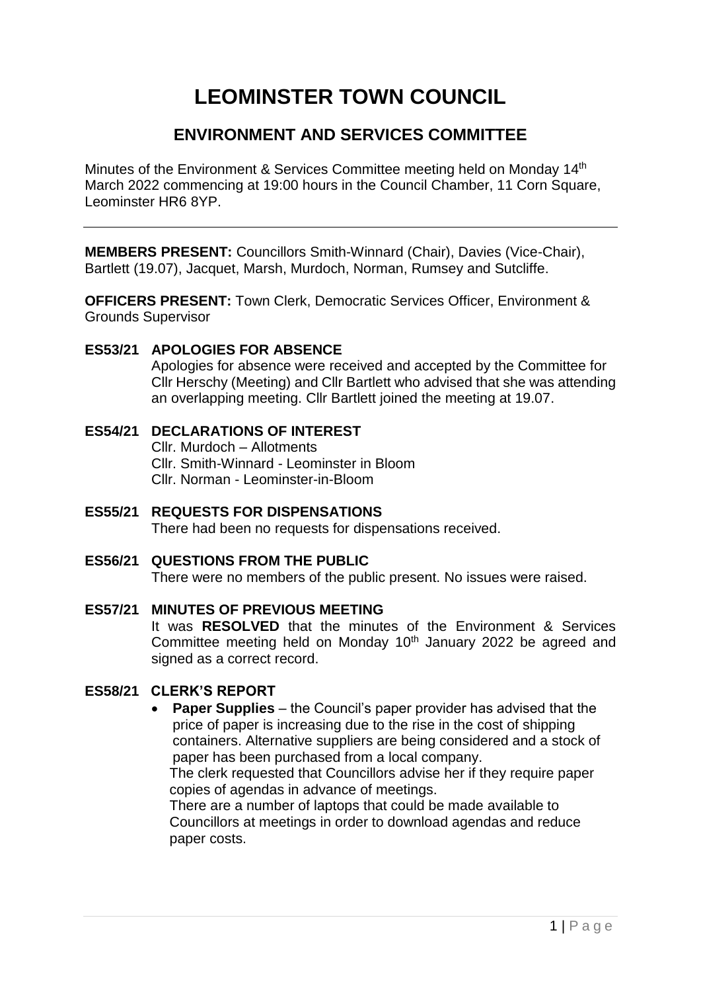# **LEOMINSTER TOWN COUNCIL**

# **ENVIRONMENT AND SERVICES COMMITTEE**

Minutes of the Environment & Services Committee meeting held on Monday 14<sup>th</sup> March 2022 commencing at 19:00 hours in the Council Chamber, 11 Corn Square, Leominster HR6 8YP.

**MEMBERS PRESENT:** Councillors Smith-Winnard (Chair), Davies (Vice-Chair), Bartlett (19.07), Jacquet, Marsh, Murdoch, Norman, Rumsey and Sutcliffe.

**OFFICERS PRESENT:** Town Clerk, Democratic Services Officer, Environment & Grounds Supervisor

#### **ES53/21 APOLOGIES FOR ABSENCE**

Apologies for absence were received and accepted by the Committee for Cllr Herschy (Meeting) and Cllr Bartlett who advised that she was attending an overlapping meeting. Cllr Bartlett joined the meeting at 19.07.

# **ES54/21 DECLARATIONS OF INTEREST**

Cllr. Murdoch – Allotments Cllr. Smith-Winnard - Leominster in Bloom Cllr. Norman - Leominster-in-Bloom

#### **ES55/21 REQUESTS FOR DISPENSATIONS** There had been no requests for dispensations received.

# **ES56/21 QUESTIONS FROM THE PUBLIC** There were no members of the public present. No issues were raised.

#### **ES57/21 MINUTES OF PREVIOUS MEETING**

It was **RESOLVED** that the minutes of the Environment & Services Committee meeting held on Monday 10<sup>th</sup> January 2022 be agreed and signed as a correct record.

#### **ES58/21 CLERK'S REPORT**

 **Paper Supplies** – the Council's paper provider has advised that the price of paper is increasing due to the rise in the cost of shipping containers. Alternative suppliers are being considered and a stock of paper has been purchased from a local company.

The clerk requested that Councillors advise her if they require paper copies of agendas in advance of meetings.

There are a number of laptops that could be made available to Councillors at meetings in order to download agendas and reduce paper costs.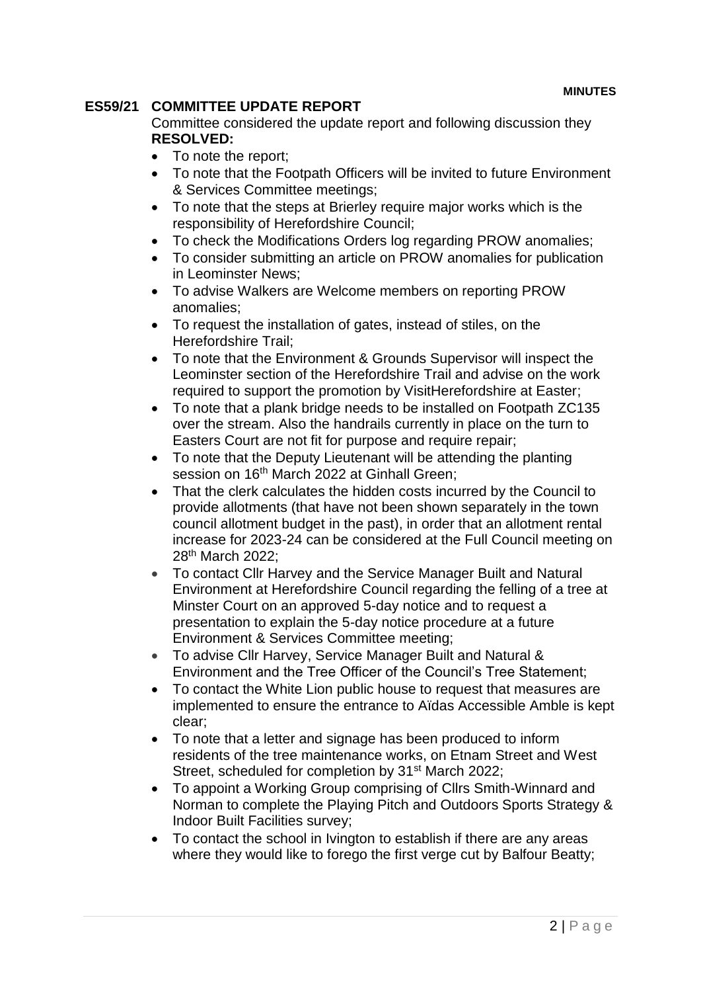### **ES59/21 COMMITTEE UPDATE REPORT**

Committee considered the update report and following discussion they **RESOLVED:**

- To note the report;
- To note that the Footpath Officers will be invited to future Environment & Services Committee meetings;
- To note that the steps at Brierley require major works which is the responsibility of Herefordshire Council;
- To check the Modifications Orders log regarding PROW anomalies;
- To consider submitting an article on PROW anomalies for publication in Leominster News;
- To advise Walkers are Welcome members on reporting PROW anomalies;
- To request the installation of gates, instead of stiles, on the Herefordshire Trail;
- To note that the Environment & Grounds Supervisor will inspect the Leominster section of the Herefordshire Trail and advise on the work required to support the promotion by VisitHerefordshire at Easter;
- To note that a plank bridge needs to be installed on Footpath ZC135 over the stream. Also the handrails currently in place on the turn to Easters Court are not fit for purpose and require repair;
- To note that the Deputy Lieutenant will be attending the planting session on 16<sup>th</sup> March 2022 at Ginhall Green:
- That the clerk calculates the hidden costs incurred by the Council to provide allotments (that have not been shown separately in the town council allotment budget in the past), in order that an allotment rental increase for 2023-24 can be considered at the Full Council meeting on 28th March 2022;
- To contact Cllr Harvey and the Service Manager Built and Natural Environment at Herefordshire Council regarding the felling of a tree at Minster Court on an approved 5-day notice and to request a presentation to explain the 5-day notice procedure at a future Environment & Services Committee meeting;
- To advise Cllr Harvey, Service Manager Built and Natural & Environment and the Tree Officer of the Council's Tree Statement;
- To contact the White Lion public house to request that measures are implemented to ensure the entrance to Aïdas Accessible Amble is kept clear;
- To note that a letter and signage has been produced to inform residents of the tree maintenance works, on Etnam Street and West Street, scheduled for completion by 31<sup>st</sup> March 2022;
- To appoint a Working Group comprising of Cllrs Smith-Winnard and Norman to complete the Playing Pitch and Outdoors Sports Strategy & Indoor Built Facilities survey;
- To contact the school in Ivington to establish if there are any areas where they would like to forego the first verge cut by Balfour Beatty;